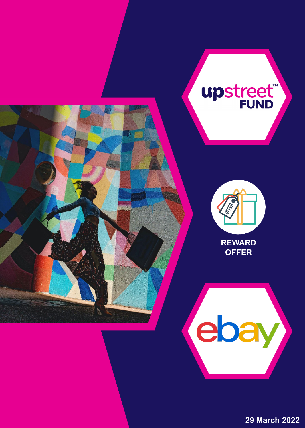

**29 March 2022**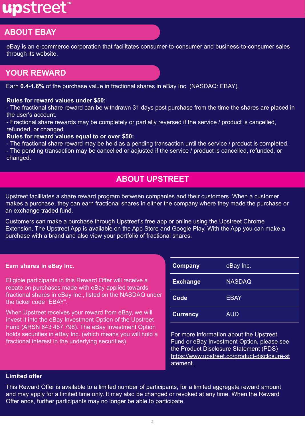# upstreet<sup>®</sup>

# **ABOUT EBAY**

eBay is an e-commerce corporation that facilitates consumer-to-consumer and business-to-consumer sales through its website.

# **YOUR REWARD**

Earn **0.4-1.6%** of the purchase value in fractional shares in eBay Inc. (NASDAQ: EBAY).

#### **Rules for reward values under \$50:**

- The fractional share reward can be withdrawn 31 days post purchase from the time the shares are placed in the user's account.

- Fractional share rewards may be completely or partially reversed if the service / product is cancelled, refunded, or changed.

#### **Rules for reward values equal to or over \$50:**

- The fractional share reward may be held as a pending transaction until the service / product is completed. - The pending transaction may be cancelled or adjusted if the service / product is cancelled, refunded, or changed.

# **ABOUT UPSTREET**

Upstreet facilitates a share reward program between companies and their customers. When a customer makes a purchase, they can earn fractional shares in either the company where they made the purchase or an exchange traded fund.

Customers can make a purchase through Upstreet's free app or online using the Upstreet Chrome Extension. The Upstreet App is available on the App Store and Google Play. With the App you can make a purchase with a brand and also view your portfolio of fractional shares.

#### **Earn shares in eBay Inc.**

Eligible participants in this Reward Offer will receive a rebate on purchases made with eBay applied towards fractional shares in eBay Inc., listed on the NASDAQ under the ticker code "EBAY".

When Upstreet receives your reward from eBay, we will invest it into the eBay Investment Option of the Upstreet Fund (ARSN 643 467 798). The eBay Investment Option holds securities in eBay Inc. (which means you will hold a fractional interest in the underlying securities).

| <b>Company</b>  | eBay Inc.     |  |
|-----------------|---------------|--|
| <b>Exchange</b> | <b>NASDAQ</b> |  |
| <b>Code</b>     | <b>EBAY</b>   |  |
| <b>Currency</b> | <b>AUD</b>    |  |

For more information about the Upstreet Fund or eBay Investment Option, please see the Product Disclosure Statement (PDS) [https://www.upstreet.co/product-disclosure-st](https://www.upstreet.co/product-disclosure-statement) [atement.](https://www.upstreet.co/product-disclosure-statement)

#### **Limited offer**

This Reward Offer is available to a limited number of participants, for a limited aggregate reward amount and may apply for a limited time only. It may also be changed or revoked at any time. When the Reward Offer ends, further participants may no longer be able to participate.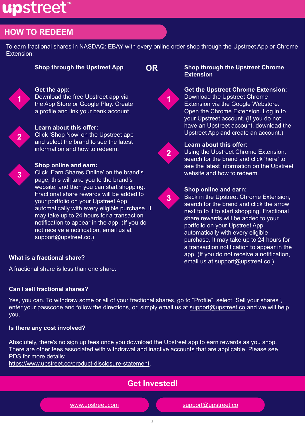# upstreet

# **HOW TO REDEEM**

To earn fractional shares in NASDAQ: EBAY with every online order shop through the Upstreet App or Chrome Extension:

# **Get the app:**

Download the free Upstreet app via the App Store or Google Play. Create a profile and link your bank account.



**1**

#### **Learn about this offer:**

Click 'Shop Now' on the Upstreet app and select the brand to see the latest information and how to redeem.



# **Shop online and earn:**

Click 'Earn Shares Online' on the brand's page, this will take you to the brand's website, and then you can start shopping. Fractional share rewards will be added to your portfolio on your Upstreet App automatically with every eligible purchase. It may take up to 24 hours for a transaction notification to appear in the app. (If you do not receive a notification, email us at support@upstreet.co.)

#### **Shop through the Upstreet App OR Shop through the Upstreet Chrome Extension**



# **Get the Upstreet Chrome Extension:**  Download the Upstreet Chrome

Extension via the Google Webstore. Open the Chrome Extension. Log in to your Upstreet account. (If you do not have an Upstreet account, download the Upstreet App and create an account.)



**3**

# **Learn about this offer:**

Using the Upstreet Chrome Extension, search for the brand and click 'here' to see the latest information on the Upstreet website and how to redeem.



Back in the Upstreet Chrome Extension, search for the brand and click the arrow next to to it to start shopping. Fractional share rewards will be added to your portfolio on your Upstreet App automatically with every eligible purchase. It may take up to 24 hours for a transaction notification to appear in the app. (If you do not receive a notification, email us at support@upstreet.co.)

# **What is a fractional share?**

A fractional share is less than one share.

# **Can I sell fractional shares?**

Yes, you can. To withdraw some or all of your fractional shares, go to "Profile", select "Sell your shares", enter your passcode and follow the directions, or, simply email us at [support@upstreet.co](mailto:support@upstreet.co) and we will help you.

# **Is there any cost involved?**

Absolutely, there's no sign up fees once you download the Upstreet app to earn rewards as you shop. There are other fees associated with withdrawal and inactive accounts that are applicable. Please see PDS for more details:

[https://www.upstreet.co/product-disclosure-statement.](https://www.upstreet.co/product-disclosure-statement)